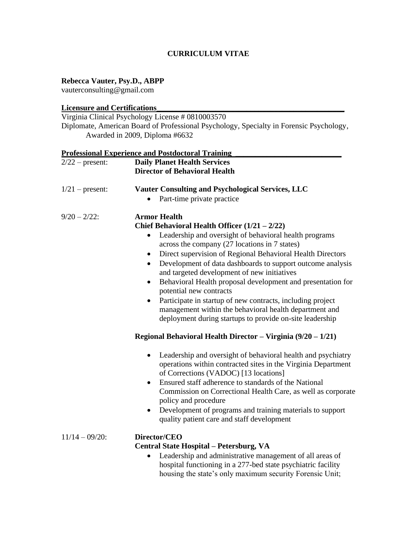## **CURRICULUM VITAE**

# **Rebecca Vauter, Psy.D., ABPP**

vauterconsulting@gmail.com

### **Licensure and Certifications\_\_\_\_\_\_\_\_\_\_\_\_\_\_\_\_\_\_\_\_\_\_\_\_\_\_\_\_\_\_\_\_\_\_\_\_\_\_\_\_\_\_\_\_\_\_\_\_**

Virginia Clinical Psychology License # 0810003570 Diplomate, American Board of Professional Psychology, Specialty in Forensic Psychology, Awarded in 2009, Diploma #6632

|                   | <b>Professional Experience and Postdoctoral Training</b>                                                                                                                                                                                                                                                                 |  |  |  |
|-------------------|--------------------------------------------------------------------------------------------------------------------------------------------------------------------------------------------------------------------------------------------------------------------------------------------------------------------------|--|--|--|
| $2/22$ – present: | <b>Daily Planet Health Services</b>                                                                                                                                                                                                                                                                                      |  |  |  |
|                   | <b>Director of Behavioral Health</b>                                                                                                                                                                                                                                                                                     |  |  |  |
| $1/21$ – present: | <b>Vauter Consulting and Psychological Services, LLC</b>                                                                                                                                                                                                                                                                 |  |  |  |
|                   | Part-time private practice                                                                                                                                                                                                                                                                                               |  |  |  |
| $9/20 - 2/22$ :   | <b>Armor Health</b>                                                                                                                                                                                                                                                                                                      |  |  |  |
|                   | Chief Behavioral Health Officer $(1/21 - 2/22)$                                                                                                                                                                                                                                                                          |  |  |  |
|                   | Leadership and oversight of behavioral health programs<br>$\bullet$<br>across the company (27 locations in 7 states)                                                                                                                                                                                                     |  |  |  |
|                   | Direct supervision of Regional Behavioral Health Directors<br>$\bullet$<br>Development of data dashboards to support outcome analysis<br>$\bullet$<br>and targeted development of new initiatives                                                                                                                        |  |  |  |
|                   | Behavioral Health proposal development and presentation for<br>$\bullet$<br>potential new contracts                                                                                                                                                                                                                      |  |  |  |
|                   | Participate in startup of new contracts, including project<br>$\bullet$<br>management within the behavioral health department and<br>deployment during startups to provide on-site leadership                                                                                                                            |  |  |  |
|                   | Regional Behavioral Health Director - Virginia (9/20 - 1/21)                                                                                                                                                                                                                                                             |  |  |  |
|                   | Leadership and oversight of behavioral health and psychiatry<br>$\bullet$<br>operations within contracted sites in the Virginia Department<br>of Corrections (VADOC) [13 locations]<br>Ensured staff adherence to standards of the National<br>$\bullet$<br>Commission on Correctional Health Care, as well as corporate |  |  |  |
|                   | policy and procedure                                                                                                                                                                                                                                                                                                     |  |  |  |
|                   | Development of programs and training materials to support<br>٠<br>quality patient care and staff development                                                                                                                                                                                                             |  |  |  |
| $11/14 - 09/20$ : | Director/CEO<br>Central State Hospital - Petersburg, VA                                                                                                                                                                                                                                                                  |  |  |  |
|                   | Leadership and administrative management of all areas of<br>hospital functioning in a 277-bed state psychiatric facility<br>housing the state's only maximum security Forensic Unit;                                                                                                                                     |  |  |  |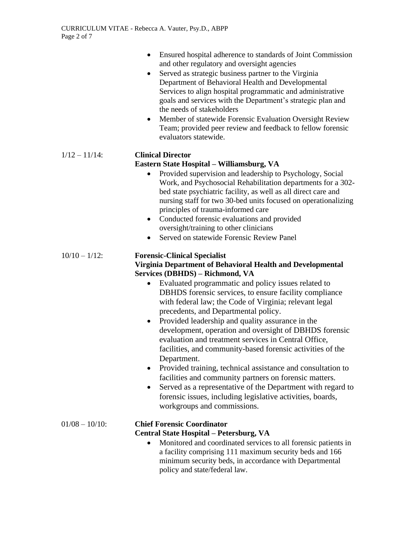|                   | Ensured hospital adherence to standards of Joint Commission<br>$\bullet$<br>and other regulatory and oversight agencies<br>Served as strategic business partner to the Virginia<br>$\bullet$<br>Department of Behavioral Health and Developmental<br>Services to align hospital programmatic and administrative<br>goals and services with the Department's strategic plan and<br>the needs of stakeholders<br>Member of statewide Forensic Evaluation Oversight Review<br>$\bullet$<br>Team; provided peer review and feedback to fellow forensic<br>evaluators statewide.                                                                                                                                                                                                                                                                                                                                                            |
|-------------------|----------------------------------------------------------------------------------------------------------------------------------------------------------------------------------------------------------------------------------------------------------------------------------------------------------------------------------------------------------------------------------------------------------------------------------------------------------------------------------------------------------------------------------------------------------------------------------------------------------------------------------------------------------------------------------------------------------------------------------------------------------------------------------------------------------------------------------------------------------------------------------------------------------------------------------------|
| $1/12 - 11/14$ :  | <b>Clinical Director</b><br>Eastern State Hospital - Williamsburg, VA<br>Provided supervision and leadership to Psychology, Social<br>$\bullet$<br>Work, and Psychosocial Rehabilitation departments for a 302-<br>bed state psychiatric facility, as well as all direct care and<br>nursing staff for two 30-bed units focused on operationalizing<br>principles of trauma-informed care<br>Conducted forensic evaluations and provided<br>$\bullet$<br>oversight/training to other clinicians<br>Served on statewide Forensic Review Panel<br>$\bullet$                                                                                                                                                                                                                                                                                                                                                                              |
| $10/10 - 1/12$ :  | <b>Forensic-Clinical Specialist</b><br>Virginia Department of Behavioral Health and Developmental<br>Services (DBHDS) - Richmond, VA<br>Evaluated programmatic and policy issues related to<br>$\bullet$<br>DBHDS forensic services, to ensure facility compliance<br>with federal law; the Code of Virginia; relevant legal<br>precedents, and Departmental policy.<br>Provided leadership and quality assurance in the<br>$\bullet$<br>development, operation and oversight of DBHDS forensic<br>evaluation and treatment services in Central Office,<br>facilities, and community-based forensic activities of the<br>Department.<br>Provided training, technical assistance and consultation to<br>facilities and community partners on forensic matters.<br>Served as a representative of the Department with regard to<br>$\bullet$<br>forensic issues, including legislative activities, boards,<br>workgroups and commissions. |
| $01/08 - 10/10$ : | <b>Chief Forensic Coordinator</b><br><b>Central State Hospital – Petersburg, VA</b><br>Monitored and coordinated services to all forensic patients in<br>a facility comprising 111 maximum security beds and 166<br>minimum security beds, in accordance with Departmental<br>policy and state/federal law.                                                                                                                                                                                                                                                                                                                                                                                                                                                                                                                                                                                                                            |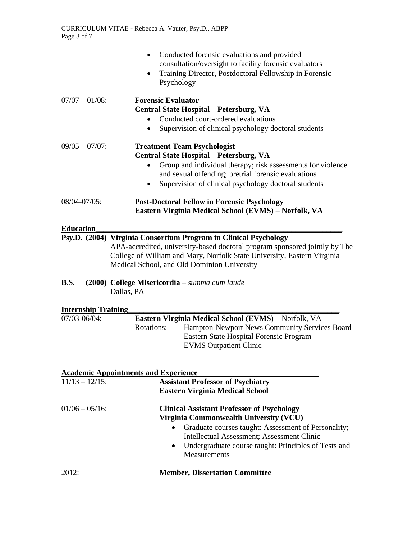|                            | Conducted forensic evaluations and provided<br>consultation/oversight to facility forensic evaluators<br>Training Director, Postdoctoral Fellowship in Forensic<br>Psychology                                                                                                                      |  |
|----------------------------|----------------------------------------------------------------------------------------------------------------------------------------------------------------------------------------------------------------------------------------------------------------------------------------------------|--|
| $07/07 - 01/08$ :          | <b>Forensic Evaluator</b><br>Central State Hospital - Petersburg, VA<br>Conducted court-ordered evaluations<br>$\bullet$<br>Supervision of clinical psychology doctoral students                                                                                                                   |  |
| $09/05 - 07/07$ :          | <b>Treatment Team Psychologist</b><br>Central State Hospital - Petersburg, VA<br>Group and individual therapy; risk assessments for violence<br>and sexual offending; pretrial forensic evaluations<br>Supervision of clinical psychology doctoral students<br>$\bullet$                           |  |
| 08/04-07/05:               | <b>Post-Doctoral Fellow in Forensic Psychology</b><br>Eastern Virginia Medical School (EVMS) - Norfolk, VA                                                                                                                                                                                         |  |
| <b>Education</b>           |                                                                                                                                                                                                                                                                                                    |  |
|                            | Psy.D. (2004) Virginia Consortium Program in Clinical Psychology<br>APA-accredited, university-based doctoral program sponsored jointly by The<br>College of William and Mary, Norfolk State University, Eastern Virginia<br>Medical School, and Old Dominion University                           |  |
| <b>B.S.</b>                | (2000) College Misericordia - summa cum laude<br>Dallas, PA                                                                                                                                                                                                                                        |  |
| <b>Internship Training</b> |                                                                                                                                                                                                                                                                                                    |  |
| 07/03-06/04:               | Eastern Virginia Medical School (EVMS) - Norfolk, VA                                                                                                                                                                                                                                               |  |
|                            | <b>Rotations:</b><br>Hampton-Newport News Community Services Board<br>Eastern State Hospital Forensic Program<br><b>EVMS Outpatient Clinic</b>                                                                                                                                                     |  |
|                            |                                                                                                                                                                                                                                                                                                    |  |
|                            | <b>Academic Appointments and Experience</b>                                                                                                                                                                                                                                                        |  |
| $11/13 - 12/15$ :          | <b>Assistant Professor of Psychiatry</b><br><b>Eastern Virginia Medical School</b>                                                                                                                                                                                                                 |  |
| $01/06 - 05/16$ :          | <b>Clinical Assistant Professor of Psychology</b><br>Virginia Commonwealth University (VCU)<br>Graduate courses taught: Assessment of Personality;<br>$\bullet$<br>Intellectual Assessment; Assessment Clinic<br>Undergraduate course taught: Principles of Tests and<br>$\bullet$<br>Measurements |  |
| 2012:                      | <b>Member, Dissertation Committee</b>                                                                                                                                                                                                                                                              |  |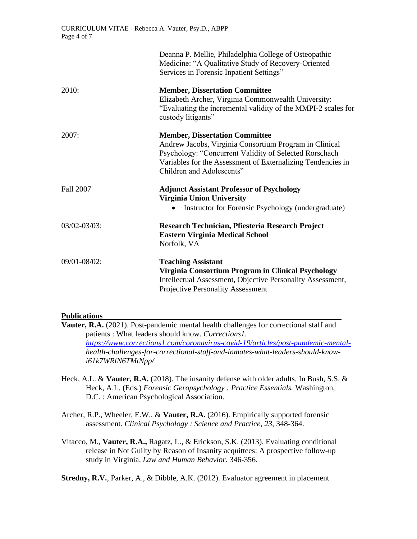|              | Deanna P. Mellie, Philadelphia College of Osteopathic<br>Medicine: "A Qualitative Study of Recovery-Oriented<br>Services in Forensic Inpatient Settings"                                                                                              |
|--------------|-------------------------------------------------------------------------------------------------------------------------------------------------------------------------------------------------------------------------------------------------------|
| 2010:        | <b>Member, Dissertation Committee</b><br>Elizabeth Archer, Virginia Commonwealth University:<br>"Evaluating the incremental validity of the MMPI-2 scales for<br>custody litigants"                                                                   |
| 2007:        | <b>Member, Dissertation Committee</b><br>Andrew Jacobs, Virginia Consortium Program in Clinical<br>Psychology: "Concurrent Validity of Selected Rorschach<br>Variables for the Assessment of Externalizing Tendencies in<br>Children and Adolescents" |
| Fall 2007    | <b>Adjunct Assistant Professor of Psychology</b><br><b>Virginia Union University</b><br>Instructor for Forensic Psychology (undergraduate)                                                                                                            |
| 03/02-03/03: | Research Technician, Pfiesteria Research Project<br><b>Eastern Virginia Medical School</b><br>Norfolk, VA                                                                                                                                             |
| 09/01-08/02: | <b>Teaching Assistant</b><br>Virginia Consortium Program in Clinical Psychology<br>Intellectual Assessment, Objective Personality Assessment,<br><b>Projective Personality Assessment</b>                                                             |

### **Publications\_\_\_\_\_\_\_\_\_\_\_\_\_\_\_\_\_\_\_\_\_\_\_\_\_\_\_\_\_\_\_\_\_\_\_\_\_\_\_\_\_\_\_\_\_\_\_\_\_\_\_\_\_\_\_\_\_\_\_\_\_**

- **Vauter, R.A.** (2021). Post-pandemic mental health challenges for correctional staff and patients : What leaders should know. *Corrections1. [https://www.corrections1.com/coronavirus-covid-19/articles/post-pandemic-mental](https://www.corrections1.com/coronavirus-covid-19/articles/post-pandemic-mental-)health-challenges-for-correctional-staff-and-inmates-what-leaders-should-knowi61k7WRlN6TMtNpp/*
- Heck, A.L. & **Vauter, R.A.** (2018). The insanity defense with older adults. In Bush, S.S. & Heck, A.L. (Eds.) *Forensic Geropsychology : Practice Essentials.* Washington, D.C. : American Psychological Association.
- Archer, R.P., Wheeler, E.W., & **Vauter, R.A.** (2016). Empirically supported forensic assessment. *Clinical Psychology : Science and Practice, 23,* 348-364.
- Vitacco, M., **Vauter, R.A.,** Ragatz, L., & Erickson, S.K. (2013). Evaluating conditional release in Not Guilty by Reason of Insanity acquittees: A prospective follow-up study in Virginia. *Law and Human Behavior.* 346-356.

**Stredny, R.V.**, Parker, A., & Dibble, A.K. (2012). Evaluator agreement in placement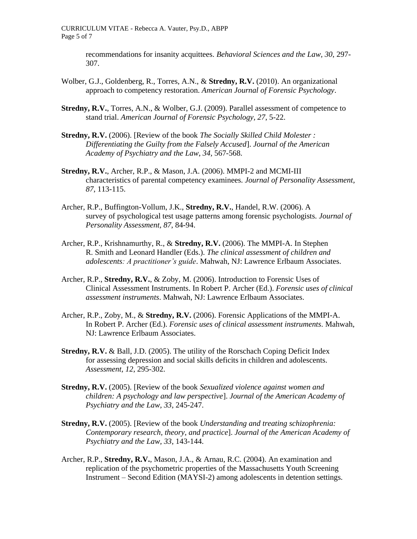CURRICULUM VITAE - Rebecca A. Vauter, Psy.D., ABPP Page 5 of 7

> recommendations for insanity acquittees. *Behavioral Sciences and the Law, 30*, 297- 307.

- Wolber, G.J., Goldenberg, R., Torres, A.N., & **Stredny, R.V.** (2010). An organizational approach to competency restoration. *American Journal of Forensic Psychology*.
- **Stredny, R.V.**, Torres, A.N., & Wolber, G.J. (2009). Parallel assessment of competence to stand trial. *American Journal of Forensic Psychology, 27*, 5-22.
- **Stredny, R.V.** (2006). [Review of the book *The Socially Skilled Child Molester : Differentiating the Guilty from the Falsely Accused*]. *Journal of the American Academy of Psychiatry and the Law*, *34,* 567-568.
- **Stredny, R.V.**, Archer, R.P., & Mason, J.A. (2006). MMPI-2 and MCMI-III characteristics of parental competency examinees. *Journal of Personality Assessment, 87*, 113-115.
- Archer, R.P., Buffington-Vollum, J.K., **Stredny, R.V.**, Handel, R.W. (2006). A survey of psychological test usage patterns among forensic psychologists. *Journal of Personality Assessment, 87*, 84-94.
- Archer, R.P., Krishnamurthy, R., & **Stredny, R.V.** (2006). The MMPI-A. In Stephen R. Smith and Leonard Handler (Eds.). *The clinical assessment of children and adolescents: A practitioner's guide*. Mahwah, NJ: Lawrence Erlbaum Associates.
- Archer, R.P., **Stredny, R.V.**, & Zoby, M. (2006). Introduction to Forensic Uses of Clinical Assessment Instruments. In Robert P. Archer (Ed.). *Forensic uses of clinical assessment instruments*. Mahwah, NJ: Lawrence Erlbaum Associates.
- Archer, R.P., Zoby, M., & **Stredny, R.V.** (2006). Forensic Applications of the MMPI-A. In Robert P. Archer (Ed.). *Forensic uses of clinical assessment instruments.* Mahwah, NJ: Lawrence Erlbaum Associates.
- **Stredny, R.V.** & Ball, J.D. (2005). The utility of the Rorschach Coping Deficit Index for assessing depression and social skills deficits in children and adolescents. *Assessment, 12*, 295-302.
- **Stredny, R.V.** (2005). [Review of the book *Sexualized violence against women and children: A psychology and law perspective*]. *Journal of the American Academy of Psychiatry and the Law, 33*, 245-247.
- **Stredny, R.V.** (2005). [Review of the book *Understanding and treating schizophrenia: Contemporary research, theory, and practice*]. *Journal of the American Academy of Psychiatry and the Law, 33*, 143-144.
- Archer, R.P., **Stredny, R.V.**, Mason, J.A., & Arnau, R.C. (2004). An examination and replication of the psychometric properties of the Massachusetts Youth Screening Instrument – Second Edition (MAYSI-2) among adolescents in detention settings.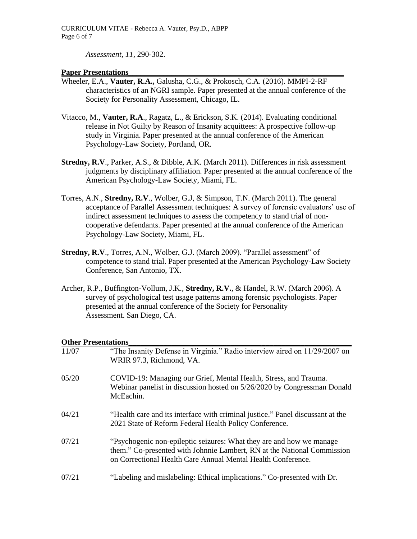*Assessment, 11*, 290-302.

#### **Paper Presentations**

- Wheeler, E.A., **Vauter, R.A.,** Galusha, C.G., & Prokosch, C.A. (2016). MMPI-2-RF characteristics of an NGRI sample. Paper presented at the annual conference of the Society for Personality Assessment, Chicago, IL.
- Vitacco, M., **Vauter, R.A**., Ragatz, L., & Erickson, S.K. (2014). Evaluating conditional release in Not Guilty by Reason of Insanity acquittees: A prospective follow-up study in Virginia. Paper presented at the annual conference of the American Psychology-Law Society, Portland, OR.
- **Stredny, R.V., Parker, A.S., & Dibble, A.K. (March 2011). Differences in risk assessment** judgments by disciplinary affiliation. Paper presented at the annual conference of the American Psychology-Law Society, Miami, FL.
- Torres, A.N., **Stredny, R.V**., Wolber, G.J, & Simpson, T.N. (March 2011). The general acceptance of Parallel Assessment techniques: A survey of forensic evaluators' use of indirect assessment techniques to assess the competency to stand trial of noncooperative defendants. Paper presented at the annual conference of the American Psychology-Law Society, Miami, FL.
- **Stredny, R.V**., Torres, A.N., Wolber, G.J. (March 2009). "Parallel assessment" of competence to stand trial. Paper presented at the American Psychology-Law Society Conference, San Antonio, TX.
- Archer, R.P., Buffington-Vollum, J.K., **Stredny, R.V.**, & Handel, R.W. (March 2006). A survey of psychological test usage patterns among forensic psychologists. Paper presented at the annual conference of the Society for Personality Assessment. San Diego, CA.

#### **Other Presentations**

| 11/07 | "The Insanity Defense in Virginia." Radio interview aired on 11/29/2007 on<br>WRIR 97.3, Richmond, VA.                                                                                                          |
|-------|-----------------------------------------------------------------------------------------------------------------------------------------------------------------------------------------------------------------|
| 05/20 | COVID-19: Managing our Grief, Mental Health, Stress, and Trauma.<br>Webinar panelist in discussion hosted on 5/26/2020 by Congressman Donald<br>McEachin.                                                       |
| 04/21 | "Health care and its interface with criminal justice." Panel discussant at the<br>2021 State of Reform Federal Health Policy Conference.                                                                        |
| 07/21 | "Psychogenic non-epileptic seizures: What they are and how we manage<br>them." Co-presented with Johnnie Lambert, RN at the National Commission<br>on Correctional Health Care Annual Mental Health Conference. |
| 07/21 | "Labeling and mislabeling: Ethical implications." Co-presented with Dr.                                                                                                                                         |